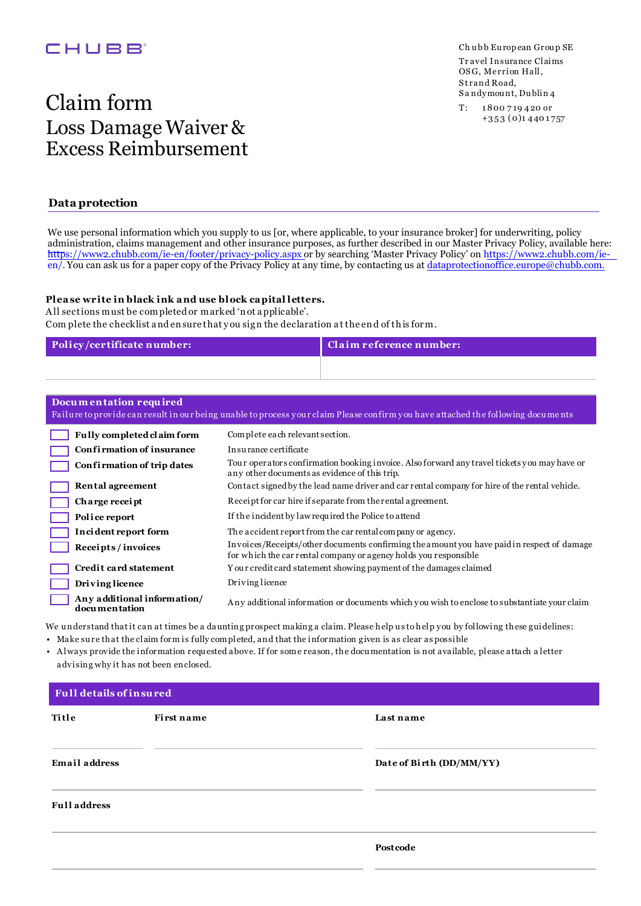## CHUBB<sup>®</sup>

# Claim form Loss Damage Waiver & Excess Reimbursement

### **Data protection**

We use personal information which you supply to us [or, where applicable, to your insurance broker] for underwriting, policy administration, claims management and other insurance purposes, as further described in our Master Privacy Policy, available here: https://www2.chubb.com/ie-en/footer/privacy-policy.aspx or by searching 'Master Privacy Policy' on https://www2.chubb.com/ieen/. You can ask us for a paper copy of the Privacy Policy at any time, by contacting us at dataprotectionoffice.europe@chubb.com.

#### **Plea se write in black ink a nd use block ca pital letters.**

A ll sections must be completed or marked 'n ot a pplicable'. Com plete the checklist a nd en sure that y ou sig n the declaration a t the en d of th is for m.

| Policy/certificate number: | Claim reference number: |
|----------------------------|-------------------------|
|                            |                         |

| Documentation required<br>Failure to provide can result in our being unable to process your claim Please confirm you have attached the following documents |                                                                                                                                                                |  |  |
|------------------------------------------------------------------------------------------------------------------------------------------------------------|----------------------------------------------------------------------------------------------------------------------------------------------------------------|--|--|
| Fully completed claim form                                                                                                                                 | Complete each relevant section.                                                                                                                                |  |  |
| Confirmation of insurance                                                                                                                                  | In su rance certificate                                                                                                                                        |  |  |
| Confirmation of trip dates                                                                                                                                 | Tour operators confirmation booking invoice. Also forward any travel tickets you may have or<br>any other documents as evidence of this trip.                  |  |  |
| Rental agreement                                                                                                                                           | Contact signed by the lead name driver and car rental company for hire of the rental vehicle.                                                                  |  |  |
| Charge receipt                                                                                                                                             | Receipt for car hire if separate from the rental agreement.                                                                                                    |  |  |
| Police report                                                                                                                                              | If the incident by law required the Police to attend                                                                                                           |  |  |
| Incident report form                                                                                                                                       | The accident report from the car rental company or agency.                                                                                                     |  |  |
| Receipts/invoices                                                                                                                                          | Invoices/Receipts/other documents confirming the amount you have paid in respect of damage<br>for which the car rental company or agency holds you responsible |  |  |
| Credit card statement                                                                                                                                      | Your credit card statement showing payment of the damages claimed                                                                                              |  |  |
| Driving licence                                                                                                                                            | Driving licence                                                                                                                                                |  |  |
| Any additional information/<br>documentation                                                                                                               | Any additional information or documents which you wish to enclose to substantiate your claim                                                                   |  |  |

We understand that it can at times be a daunting prospect making a claim. Please help us to help you by following these guidelines:

• Make su re that the claim form is fully completed, and that the information given is as clear as possible

• A lways provide the information requ ested above. If for some reason, the docu mentation is not available, please attach a letter advising why it has not been enclosed.

| Full details of insured |                   |                          |  |
|-------------------------|-------------------|--------------------------|--|
| Title                   | <b>First name</b> | Last name                |  |
| <b>Email address</b>    |                   | Date of Birth (DD/MM/YY) |  |
| <b>Full address</b>     |                   |                          |  |
|                         |                   | Postcode                 |  |

Tr avel Insurance Claims OSG, Merrion Hall, St rand Road, Sa ndymount, Dublin 4 Ch ubb European Group SE

T: 1 800 7 19 420 or +3 5 3 (0)1 440 1 757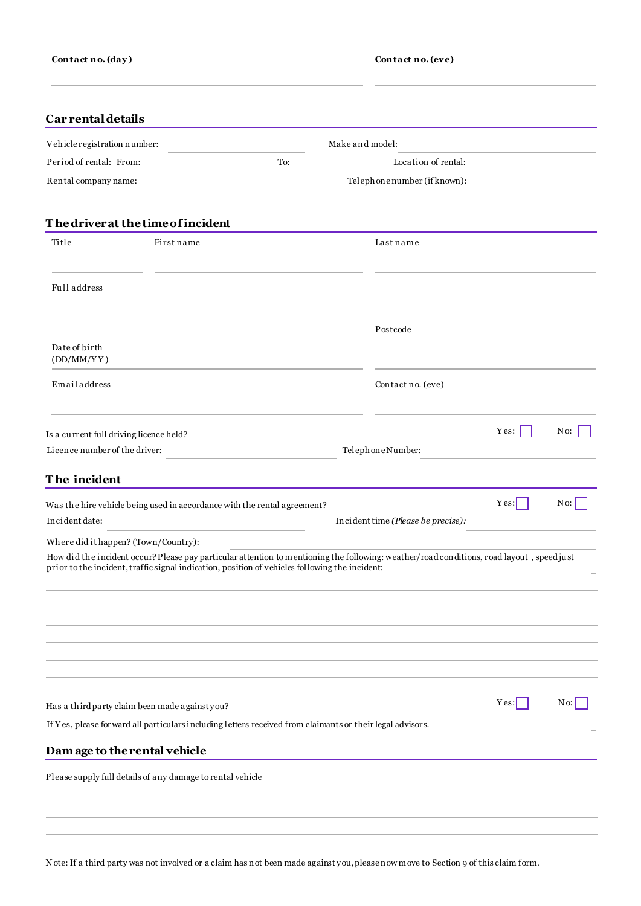## **Car rental details**

| Vehicle registration number:       |            |     | Make and model:             |  |
|------------------------------------|------------|-----|-----------------------------|--|
| Period of rental: From:            |            | To: | Location of rental:         |  |
| Rental company name:               |            |     | Telephonenumber (if known): |  |
| The driver at the time of incident |            |     |                             |  |
| Title                              | First name |     | Last name                   |  |

| Full address                                                                                                                                                                                                                                |                                    |      |                      |
|---------------------------------------------------------------------------------------------------------------------------------------------------------------------------------------------------------------------------------------------|------------------------------------|------|----------------------|
|                                                                                                                                                                                                                                             | Postcode                           |      |                      |
| Date of birth<br>(DD/MM/YY)                                                                                                                                                                                                                 |                                    |      |                      |
| Emailaddress                                                                                                                                                                                                                                | Contact no. (eve)                  |      |                      |
| Is a current full driving licence held?                                                                                                                                                                                                     |                                    | Yes: | No:                  |
| Licence number of the driver:                                                                                                                                                                                                               | Telephone Number:                  |      |                      |
| The incident                                                                                                                                                                                                                                |                                    |      |                      |
| Was the hire vehicle being used in accordance with the rental agreement?                                                                                                                                                                    |                                    | Yes: | No:                  |
| Incident date:                                                                                                                                                                                                                              | Incident time (Please be precise): |      |                      |
| Where did it happen? (Town/Country):                                                                                                                                                                                                        |                                    |      |                      |
| How did the incident occur? Please pay particular attention to mentioning the following: weather/road conditions, road layout, speed just<br>prior to the incident, traffic signal indication, position of vehicles following the incident: |                                    |      |                      |
|                                                                                                                                                                                                                                             |                                    |      |                      |
|                                                                                                                                                                                                                                             |                                    |      |                      |
|                                                                                                                                                                                                                                             |                                    |      |                      |
| Has a third party claim been made againstyou?                                                                                                                                                                                               |                                    | Yes: | $\vert$ N o: $\vert$ |
| If Y es, please forward all particulars including letters received from claimants or their legal advisors.                                                                                                                                  |                                    |      |                      |
| Dam age to the rental vehicle                                                                                                                                                                                                               |                                    |      |                      |
| Please supply full details of any damage to rental vehicle                                                                                                                                                                                  |                                    |      |                      |
|                                                                                                                                                                                                                                             |                                    |      |                      |

Note:If a third party was not involved or a claim has not been made against you,pleasenow move to Section 9 of this claim form.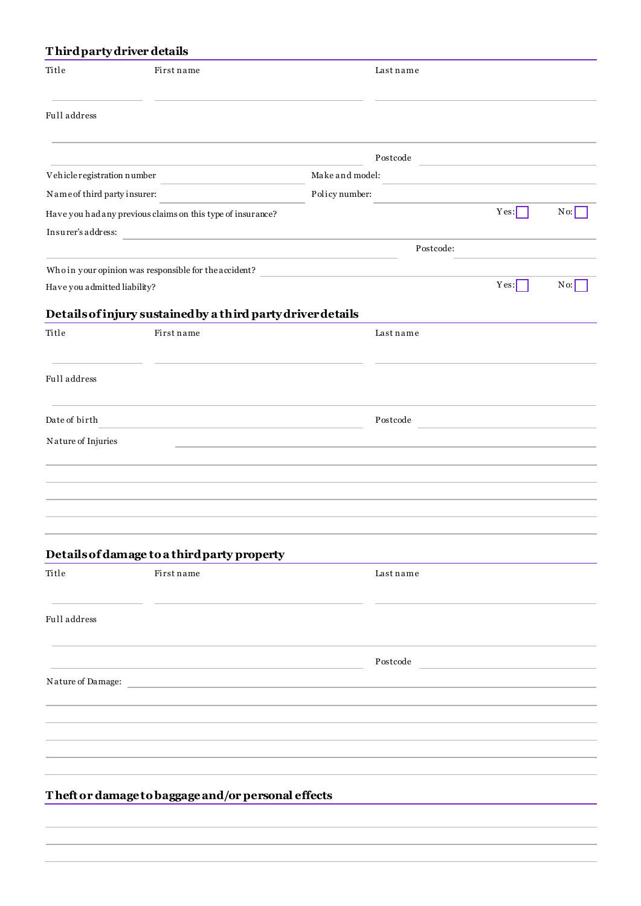## **T hird party driver details**

| Title                        | First name                                                  |                 | Lastname  |                                                    |               |
|------------------------------|-------------------------------------------------------------|-----------------|-----------|----------------------------------------------------|---------------|
| Full address                 |                                                             |                 |           |                                                    |               |
|                              |                                                             |                 | Postcode  |                                                    |               |
| Vehicle registration number  |                                                             | Make and model: |           |                                                    |               |
| Name of third party insurer: |                                                             | Policy number:  |           |                                                    |               |
|                              | Have you had any previous claims on this type of insurance? |                 |           | Yes:                                               | $N_{\rm 0}$ : |
| Insurer's address:           | the control of the control of the control of the control of |                 |           |                                                    |               |
|                              |                                                             |                 | Postcode: |                                                    |               |
|                              | Who in your opinion was responsible for the accident?       |                 |           |                                                    |               |
| Have you admitted liability? |                                                             |                 |           | Yes:                                               | $N_{0:}$      |
|                              | Details of injury sustained by a third party driver details |                 |           |                                                    |               |
| Title                        | First name                                                  |                 | Lastname  |                                                    |               |
| Full address                 |                                                             |                 |           |                                                    |               |
| Date of birth                |                                                             |                 | Postcode  | <u> 1980 - Jan Barbara Barat, prima politik po</u> |               |
| Nature of Injuries           |                                                             |                 |           |                                                    |               |
|                              |                                                             |                 |           |                                                    |               |
|                              |                                                             |                 |           |                                                    |               |
|                              |                                                             |                 |           |                                                    |               |
|                              |                                                             |                 |           |                                                    |               |
|                              |                                                             |                 |           |                                                    |               |
|                              | Details of damage to a third party property                 |                 |           |                                                    |               |
| Title                        | First name                                                  |                 | Lastname  |                                                    |               |
|                              |                                                             |                 |           |                                                    |               |
| Full address                 |                                                             |                 |           |                                                    |               |
|                              |                                                             |                 |           |                                                    |               |
|                              |                                                             |                 | Postcode  |                                                    |               |
| Nature of Damage:            |                                                             |                 |           |                                                    |               |
|                              |                                                             |                 |           |                                                    |               |
|                              |                                                             |                 |           |                                                    |               |
|                              |                                                             |                 |           |                                                    |               |
|                              |                                                             |                 |           |                                                    |               |
|                              |                                                             |                 |           |                                                    |               |
|                              | Theft or damage to baggage and/or personal effects          |                 |           |                                                    |               |
|                              |                                                             |                 |           |                                                    |               |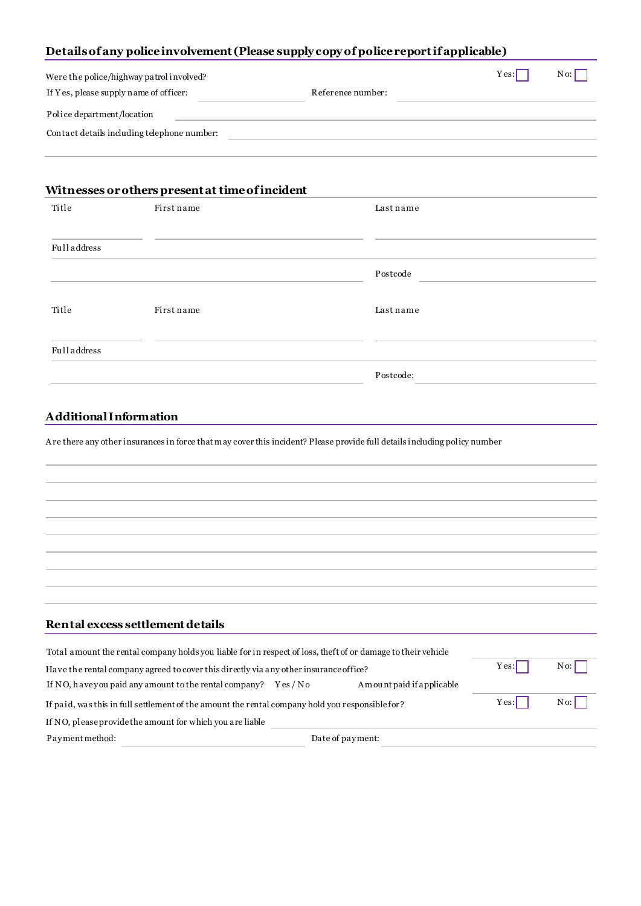## **Details of any police involvement (Please supply copy of police reportif applicable)**

| Were the police/highway patrol involved?    |                   | Yes: | $No$ : |
|---------------------------------------------|-------------------|------|--------|
| If Yes, please supply name of officer:      | Reference number: |      |        |
| Police department/location                  |                   |      |        |
| Contact details including telephone number: |                   |      |        |
|                                             |                   |      |        |

## **Witnesses or others present at time of incident**

| Title        | First name | Last name |
|--------------|------------|-----------|
|              |            |           |
| Full address |            |           |
|              |            | Postcode  |
|              |            |           |
| Title        | First name | Lastname  |
|              |            |           |
| Full address |            |           |
|              |            | Postcode: |

## **Additional Information**

A re there any other insurances in force that may cover this incident? Please provide full details including policy number

## **Rental excess settlement details**

| Total amount the rental company holds you liable for in respect of loss, the ft of or damage to their vehicle |        |                            |        |        |
|---------------------------------------------------------------------------------------------------------------|--------|----------------------------|--------|--------|
| Have the rental company agreed to cover this directly via any other insurance office?                         |        |                            | Yes:   | $No$ . |
| If NO, haveyou paid any amount to the rental company?                                                         | Yes/No | A mount paid if applicable |        |        |
| If paid, was this in full settlement of the amount the rental company hold you responsible for?               |        | Yes:                       | $No$ . |        |
| If NO, please provide the amount for which you are liable                                                     |        |                            |        |        |
| Payment method:                                                                                               |        | Date of payment:           |        |        |